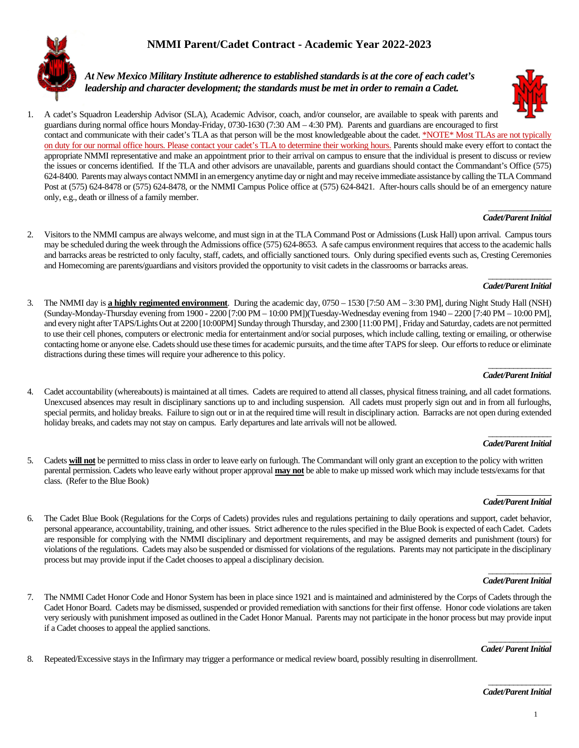# **NMMI Parent/Cadet Contract - Academic Year 2022-2023**



*At New Mexico Military Institute adherence to established standards is at the core of each cadet's leadership and character development; the standards must be met in order to remain a Cadet.*



### **Cadet/Parent Initial**

2. Visitors to the NMMI campus are always welcome, and must sign in at the TLA Command Post or Admissions (Lusk Hall) upon arrival. Campus tours may be scheduled during the week through the Admissions office (575) 624-8653. A safe campus environment requires that access to the academic halls and barracks areas be restricted to only faculty, staff, cadets, and officially sanctioned tours. Only during specified events such as, Cresting Ceremonies and Homecoming are parents/guardians and visitors provided the opportunity to visit cadets in the classrooms or barracks areas.

### \_\_\_\_\_\_\_\_\_\_\_\_\_\_\_ *Cadet/Parent Initial*

3. The NMMI day is **a highly regimented environment**. During the academic day, 0750 – 1530 [7:50 AM – 3:30 PM], during Night Study Hall (NSH) (Sunday-Monday-Thursday evening from 1900 - 2200 [7:00 PM – 10:00 PM])(Tuesday-Wednesday evening from 1940 – 2200 [7:40 PM – 10:00 PM], and every night after TAPS/Lights Out at 2200 [10:00PM] Sunday through Thursday, and 2300 [11:00 PM] , Friday and Saturday, cadets are not permitted to use their cell phones, computers or electronic media for entertainment and/or social purposes, which include calling, texting or emailing, or otherwise contacting home or anyone else. Cadets should use these times for academic pursuits, and the time after TAPS for sleep. Our efforts to reduce or eliminate distractions during these times will require your adherence to this policy.

### \_\_\_\_\_\_\_\_\_\_\_\_\_\_\_ *Cadet/Parent Initial*

4. Cadet accountability (whereabouts) is maintained at all times. Cadets are required to attend all classes, physical fitness training, and all cadet formations. Unexcused absences may result in disciplinary sanctions up to and including suspension. All cadets must properly sign out and in from all furloughs, special permits, and holiday breaks. Failure to sign out or in at the required time will result in disciplinary action. Barracks are not open during extended holiday breaks, and cadets may not stay on campus. Early departures and late arrivals will not be allowed.

### \_\_\_\_\_\_\_\_\_\_\_\_\_\_\_ *Cadet/Parent Initial*

5. Cadets **will not** be permitted to miss class in order to leave early on furlough. The Commandant will only grant an exception to the policy with written parental permission. Cadets who leave early without proper approval **may not** be able to make up missed work which may include tests/exams for that class. (Refer to the Blue Book)

### *Cadet/Parent Initial*

6. The Cadet Blue Book (Regulations for the Corps of Cadets) provides rules and regulations pertaining to daily operations and support, cadet behavior, personal appearance, accountability, training, and other issues. Strict adherence to the rules specified in the Blue Book is expected of each Cadet. Cadets are responsible for complying with the NMMI disciplinary and deportment requirements, and may be assigned demerits and punishment (tours) for violations of the regulations. Cadets may also be suspended or dismissed for violations of the regulations. Parents may not participate in the disciplinary process but may provide input if the Cadet chooses to appeal a disciplinary decision.

#### \_\_\_\_\_\_\_\_\_\_\_\_\_\_\_ *Cadet/Parent Initial*

7. The NMMI Cadet Honor Code and Honor System has been in place since 1921 and is maintained and administered by the Corps of Cadets through the Cadet Honor Board. Cadets may be dismissed, suspended or provided remediation with sanctions for their first offense. Honor code violations are taken very seriously with punishment imposed as outlined in the Cadet Honor Manual. Parents may not participate in the honor process but may provide input if a Cadet chooses to appeal the applied sanctions.

### \_\_\_\_\_\_\_\_\_\_\_\_\_\_\_ *Cadet/Parent Initial*

8. Repeated/Excessive stays in the Infirmary may trigger a performance or medical review board, possibly resulting in disenrollment.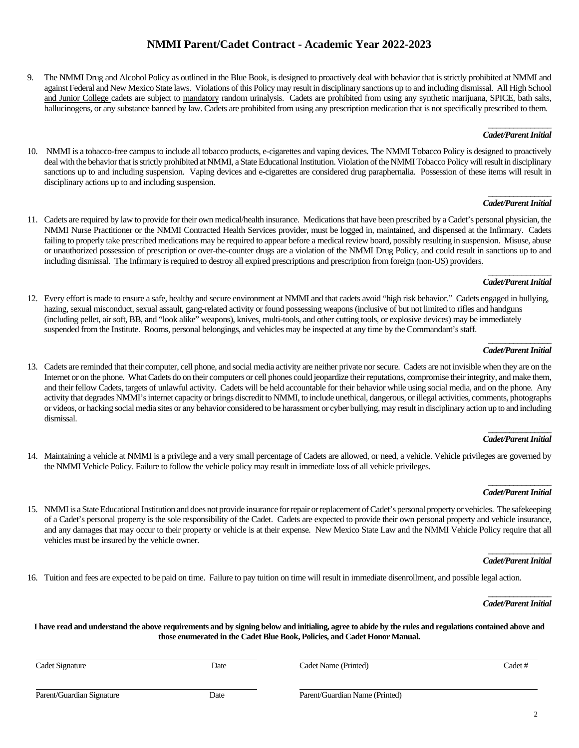## **NMMI Parent/Cadet Contract - Academic Year 2022-2023**

9. The NMMI Drug and Alcohol Policy as outlined in the Blue Book, is designed to proactively deal with behavior that is strictly prohibited at NMMI and against Federal and New Mexico State laws. Violations of this Policy may result in disciplinary sanctions up to and including dismissal. All High School and Junior College cadets are subject to mandatory random urinalysis. Cadets are prohibited from using any synthetic marijuana, SPICE, bath salts, hallucinogens, or any substance banned by law. Cadets are prohibited from using any prescription medication that is not specifically prescribed to them.

#### \_\_\_\_\_\_\_\_\_\_\_\_\_\_\_ *Cadet/Parent Initial*

10. NMMI is a tobacco-free campus to include all tobacco products, e-cigarettes and vaping devices. The NMMI Tobacco Policy is designed to proactively deal with the behavior that is strictly prohibited at NMMI, a State Educational Institution. Violation of the NMMI Tobacco Policy will result in disciplinary sanctions up to and including suspension. Vaping devices and e-cigarettes are considered drug paraphernalia. Possession of these items will result in disciplinary actions up to and including suspension.

### \_\_\_\_\_\_\_\_\_\_\_\_\_\_\_ *Cadet/Parent Initial*

11. Cadets are required by law to provide for their own medical/health insurance. Medications that have been prescribed by a Cadet's personal physician, the NMMI Nurse Practitioner or the NMMI Contracted Health Services provider, must be logged in, maintained, and dispensed at the Infirmary. Cadets failing to properly take prescribed medications may be required to appear before a medical review board, possibly resulting in suspension. Misuse, abuse or unauthorized possession of prescription or over-the-counter drugs are a violation of the NMMI Drug Policy, and could result in sanctions up to and including dismissal. The Infirmary is required to destroy all expired prescriptions and prescription from foreign (non-US) providers.

### \_\_\_\_\_\_\_\_\_\_\_\_\_\_\_ *Cadet/Parent Initial*

12. Every effort is made to ensure a safe, healthy and secure environment at NMMI and that cadets avoid "high risk behavior." Cadets engaged in bullying, hazing, sexual misconduct, sexual assault, gang-related activity or found possessing weapons (inclusive of but not limited to rifles and handguns (including pellet, air soft, BB, and "look alike" weapons), knives, multi-tools, and other cutting tools, or explosive devices) may be immediately suspended from the Institute. Rooms, personal belongings, and vehicles may be inspected at any time by the Commandant's staff.

### \_\_\_\_\_\_\_\_\_\_\_\_\_\_\_ *Cadet/ParentInitial*

13. Cadets are reminded that their computer, cell phone, and social media activity are neither private nor secure. Cadets are not invisible when they are on the Internet or on the phone. What Cadets do on their computers or cell phones could jeopardize their reputations, compromise their integrity, and make them, and their fellow Cadets, targets of unlawful activity. Cadets will be held accountable for their behavior while using social media, and on the phone. Any activity that degrades NMMI's internet capacity or brings discredit to NMMI, to include unethical, dangerous, or illegal activities, comments, photographs or videos, or hacking social media sites or any behavior considered to be harassment or cyber bullying, may result in disciplinary action up to and including dismissal.

### \_\_\_\_\_\_\_\_\_\_\_\_\_\_\_ *Cadet/Parent Initial*

14. Maintaining a vehicle at NMMI is a privilege and a very small percentage of Cadets are allowed, or need, a vehicle. Vehicle privileges are governed by the NMMI Vehicle Policy. Failure to follow the vehicle policy may result in immediate loss of all vehicle privileges.

### \_\_\_\_\_\_\_\_\_\_\_\_\_\_\_ **Cadet/Parent Initial**

15. NMMI is a State Educational Institution and does not provide insurance for repair or replacement of Cadet's personal property or vehicles. The safekeeping of a Cadet's personal property is the sole responsibility of the Cadet. Cadets are expected to provide their own personal property and vehicle insurance, and any damages that may occur to their property or vehicle is at their expense. New Mexico State Law and the NMMI Vehicle Policy require that all vehicles must be insured by the vehicle owner.

### \_\_\_\_\_\_\_\_\_\_\_\_\_\_\_ *Cadet/ParentInitial*

16. Tuition and fees are expected to be paid on time. Failure to pay tuition on time will result in immediate disenrollment, and possible legal action.

\_\_\_\_\_\_\_\_\_\_\_\_\_\_\_ *Cadet/Parent Initial*

**I have read and understand the above requirements and by signing below and initialing, agree to abide by the rules and regulations contained above and those enumerated in the Cadet Blue Book, Policies, and Cadet Honor Manual.**

Cadet Signature **Cadet Signature** Date Cadet Name (Printed) Cadet Name (Printed) Cadet #

Parent/Guardian Signature Date Parent/Guardian Name (Printed)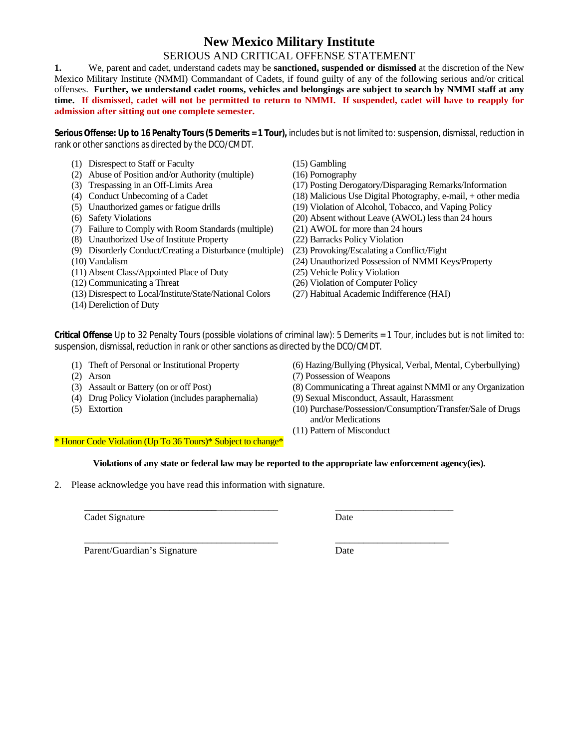# **New Mexico Military Institute**

## SERIOUS AND CRITICAL OFFENSE STATEMENT

**1.** We, parent and cadet, understand cadets may be **sanctioned, suspended or dismissed** at the discretion of the New Mexico Military Institute (NMMI) Commandant of Cadets, if found guilty of any of the following serious and/or critical offenses. **Further, we understand cadet rooms, vehicles and belongings are subject to search by NMMI staff at any time. If dismissed, cadet will not be permitted to return to NMMI. If suspended, cadet will have to reapply for admission after sitting out one complete semester.**

**Serious Offense: Up to 16 Penalty Tours(5 Demerits = 1 Tour),** includes but is not limited to: suspension, dismissal, reduction in rank or other sanctions as directed by the DCO/CMDT.

- (1) Disrespect to Staff or Faculty (15) Gambling
- (2) Abuse of Position and/or Authority (multiple) (16) Pornography
- 
- 
- 
- 
- (7) Failure to Comply with Room Standards (multiple)
- (8) Unauthorized Use of Institute Property (22) Barracks Policy Violation
- (9) Disorderly Conduct/Creating a Disturbance (multiple) (23) Provoking/Escalating a Conflict/Fight
- 
- (11) Absent Class/Appointed Place of Duty (25) Vehicle Policy Violation
- 
- (13) Disrespect to Local/Institute/State/National Colors (27) Habitual Academic Indifference (HAI)
- (14) Dereliction of Duty
- 
- 
- (3) Trespassing in an Off-Limits Area (17) Posting Derogatory/Disparaging Remarks/Information
- (4) Conduct Unbecoming of a Cadet (18) Malicious Use Digital Photography, e-mail, + other media
- (5) Unauthorized games or fatigue drills (19) Violation of Alcohol, Tobacco, and Vaping Policy
- (6) Safety Violations (20) Absent without Leave (AWOL) less than 24 hours<br>
(7) Failure to Comply with Room Standards (multiple) (21) AWOL for more than 24 hours
	-
	-
	-
- (10) Vandalism (24) Unauthorized Possession of NMMI Keys/Property
	-
- (12) Communicating a Threat (26) Violation of Computer Policy
	-

**Critical Offense** Up to 32 Penalty Tours (possible violations of criminal law): 5 Demerits = 1 Tour, includes but is not limited to: suspension, dismissal, reduction in rank or other sanctions as directed by the DCO/CMDT.

- 
- 
- (2) Arson (3) Assault or Battery (on or off Post) (3) Assault or Battery (on or off Post) (8) Communicating a Threa
- (4) Drug Policy Violation (includes paraphernalia) (9) Sexual Misconduct, Assault, Harassment
- 

(1) Theft of Personal or Institutional Property (6) Hazing/Bullying (Physical, Verbal, Mental, Cyberbullying)

- 
- (8) Communicating a Threat against NMMI or any Organization
- 
- (5) Extortion (10) Purchase/Possession/Consumption/Transfer/Sale of Drugs and/or Medications
	- (11) Pattern of Misconduct

\* Honor Code Violation (Up To 36 Tours)\* Subject to change\*

**Violations of any state or federal law may be reported to the appropriate law enforcement agency(ies).**

**\_\_\_\_\_\_\_\_\_\_\_\_\_\_\_\_\_\_\_\_\_\_\_\_\_\_\_\_**\_\_\_\_\_\_\_\_\_\_\_\_\_ \_\_\_\_\_\_\_\_\_\_\_\_\_\_\_\_\_\_\_\_\_\_\_\_\_

\_\_\_\_\_\_\_\_\_\_\_\_\_\_\_\_\_\_\_\_\_\_\_\_\_\_\_\_\_\_\_\_\_\_\_\_\_\_\_\_\_ \_\_\_\_\_\_\_\_\_\_\_\_\_\_\_\_\_\_\_\_\_\_\_\_

2. Please acknowledge you have read this information with signature.

Cadet Signature Date

Parent/Guardian's Signature Date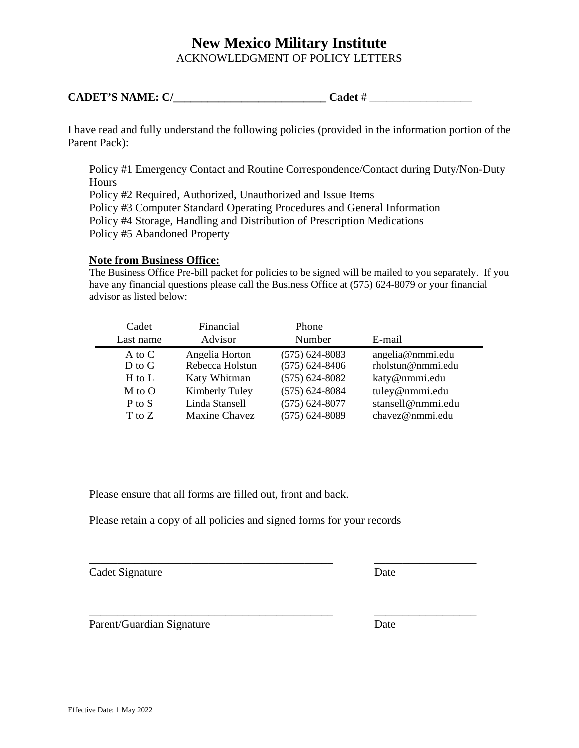# **New Mexico Military Institute** ACKNOWLEDGMENT OF POLICY LETTERS

| <b>CADET'S NAME: C/</b> | ∵adet . |
|-------------------------|---------|
|-------------------------|---------|

I have read and fully understand the following policies (provided in the information portion of the Parent Pack):

Policy #1 Emergency Contact and Routine Correspondence/Contact during Duty/Non-Duty **Hours** Policy #2 Required, Authorized, Unauthorized and Issue Items Policy #3 Computer Standard Operating Procedures and General Information Policy #4 Storage, Handling and Distribution of Prescription Medications Policy #5 Abandoned Property

## **Note from Business Office:**

The Business Office Pre-bill packet for policies to be signed will be mailed to you separately. If you have any financial questions please call the Business Office at (575) 624-8079 or your financial advisor as listed below:

| Cadet      | Financial       | Phone              |                   |
|------------|-----------------|--------------------|-------------------|
| Last name  | Advisor         | Number             | E-mail            |
| A to $C$   | Angelia Horton  | $(575)$ 624-8083   | angelia@nmmi.edu  |
| $D$ to $G$ | Rebecca Holstun | $(575) 624 - 8406$ | rholstun@nmmi.edu |
| $H$ to $L$ | Katy Whitman    | $(575) 624 - 8082$ | katy@nmmi.edu     |
| M to O     | Kimberly Tuley  | $(575) 624 - 8084$ | tuley@nmmi.edu    |
| $P$ to $S$ | Linda Stansell  | $(575) 624 - 8077$ | stansell@nmmi.edu |
| T to Z     | Maxine Chavez   | $(575)$ 624-8089   | chavez@nmmi.edu   |

\_\_\_\_\_\_\_\_\_\_\_\_\_\_\_\_\_\_\_\_\_\_\_\_\_\_\_\_\_\_\_\_\_\_\_\_\_\_\_\_\_\_\_ \_\_\_\_\_\_\_\_\_\_\_\_\_\_\_\_\_\_

\_\_\_\_\_\_\_\_\_\_\_\_\_\_\_\_\_\_\_\_\_\_\_\_\_\_\_\_\_\_\_\_\_\_\_\_\_\_\_\_\_\_\_ \_\_\_\_\_\_\_\_\_\_\_\_\_\_\_\_\_\_

Please ensure that all forms are filled out, front and back.

Please retain a copy of all policies and signed forms for your records

| Cadet Signature | Date |
|-----------------|------|
|                 |      |

Parent/Guardian Signature Date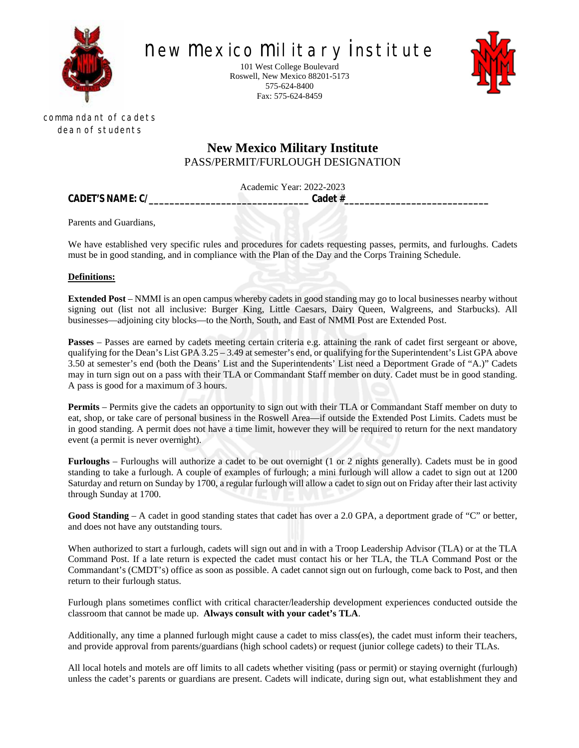

NEW MEXICO MILITARY INSTITUTE

101 West College Boulevard Roswell, New Mexico 88201-5173 575-624-8400 Fax: 575-624-8459



commandant of cadets Dean of students

# **New Mexico Military Institute** PASS/PERMIT/FURLOUGH DESIGNATION

Academic Year: 2022-2023

**CADET'S NAME: C/\_\_\_\_\_\_\_\_\_\_\_\_\_\_\_\_\_\_\_\_\_\_\_\_\_\_\_\_\_\_\_ Cadet #\_\_\_\_\_\_\_\_\_\_\_\_\_\_\_\_\_\_\_\_\_\_\_\_\_\_\_\_**

Parents and Guardians,

We have established very specific rules and procedures for cadets requesting passes, permits, and furloughs. Cadets must be in good standing, and in compliance with the Plan of the Day and the Corps Training Schedule.

## **Definitions:**

**Extended Post** – NMMI is an open campus whereby cadets in good standing may go to local businesses nearby without signing out (list not all inclusive: Burger King, Little Caesars, Dairy Queen, Walgreens, and Starbucks). All businesses—adjoining city blocks—to the North, South, and East of NMMI Post are Extended Post.

**Passes** – Passes are earned by cadets meeting certain criteria e.g. attaining the rank of cadet first sergeant or above, qualifying for the Dean's List GPA 3.25 – 3.49 at semester's end, or qualifying for the Superintendent's List GPA above 3.50 at semester's end (both the Deans' List and the Superintendents' List need a Deportment Grade of "A.)" Cadets may in turn sign out on a pass with their TLA or Commandant Staff member on duty. Cadet must be in good standing. A pass is good for a maximum of 3 hours.

**Permits** – Permits give the cadets an opportunity to sign out with their TLA or Commandant Staff member on duty to eat, shop, or take care of personal business in the Roswell Area—if outside the Extended Post Limits. Cadets must be in good standing. A permit does not have a time limit, however they will be required to return for the next mandatory event (a permit is never overnight).

**Furloughs** – Furloughs will authorize a cadet to be out overnight (1 or 2 nights generally). Cadets must be in good standing to take a furlough. A couple of examples of furlough; a mini furlough will allow a cadet to sign out at 1200 Saturday and return on Sunday by 1700, a regular furlough will allow a cadet to sign out on Friday after their last activity through Sunday at 1700.

Good Standing – A cadet in good standing states that cadet has over a 2.0 GPA, a deportment grade of "C" or better, and does not have any outstanding tours.

When authorized to start a furlough, cadets will sign out and in with a Troop Leadership Advisor (TLA) or at the TLA Command Post. If a late return is expected the cadet must contact his or her TLA, the TLA Command Post or the Commandant's (CMDT's) office as soon as possible. A cadet cannot sign out on furlough, come back to Post, and then return to their furlough status.

Furlough plans sometimes conflict with critical character/leadership development experiences conducted outside the classroom that cannot be made up. **Always consult with your cadet's TLA**.

Additionally, any time a planned furlough might cause a cadet to miss class(es), the cadet must inform their teachers, and provide approval from parents/guardians (high school cadets) or request (junior college cadets) to their TLAs.

All local hotels and motels are off limits to all cadets whether visiting (pass or permit) or staying overnight (furlough) unless the cadet's parents or guardians are present. Cadets will indicate, during sign out, what establishment they and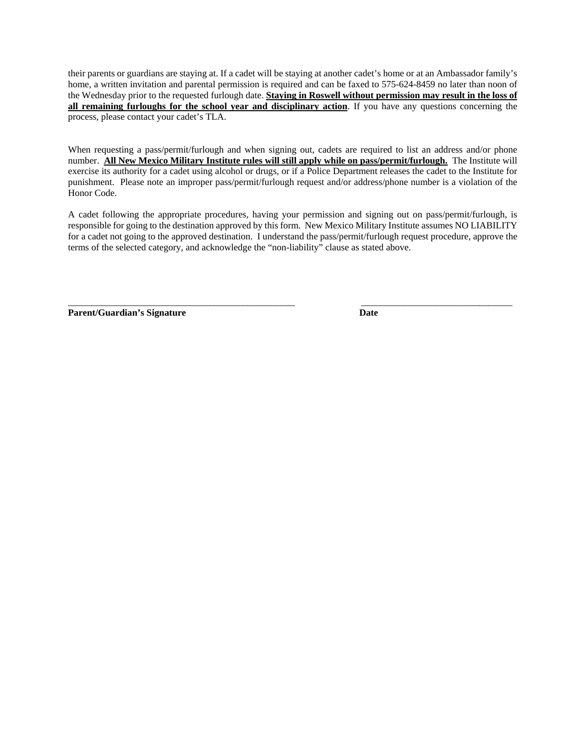their parents or guardians are staying at. If a cadet will be staying at another cadet's home or at an Ambassador family's home, a written invitation and parental permission is required and can be faxed to 575-624-8459 no later than noon of the Wednesday prior to the requested furlough date. **Staying in Roswell without permission may result in the loss of all remaining furloughs for the school year and disciplinary action**. If you have any questions concerning the process, please contact your cadet's TLA.

When requesting a pass/permit/furlough and when signing out, cadets are required to list an address and/or phone number. **All New Mexico Military Institute rules will still apply while on pass/permit/furlough.** The Institute will exercise its authority for a cadet using alcohol or drugs, or if a Police Department releases the cadet to the Institute for punishment. Please note an improper pass/permit/furlough request and/or address/phone number is a violation of the Honor Code.

A cadet following the appropriate procedures, having your permission and signing out on pass/permit/furlough, is responsible for going to the destination approved by this form. New Mexico Military Institute assumes NO LIABILITY for a cadet not going to the approved destination. I understand the pass/permit/furlough request procedure, approve the terms of the selected category, and acknowledge the "non-liability" clause as stated above.

\_\_\_\_\_\_\_\_\_\_\_\_\_\_\_\_\_\_\_\_\_\_\_\_\_\_\_\_\_\_\_\_\_\_\_\_\_\_\_\_\_\_\_\_\_\_\_\_ \_\_\_\_\_\_\_\_\_\_\_\_\_\_\_\_\_\_\_\_\_\_\_\_\_\_\_\_\_\_\_\_

**Parent/Guardian's Signature Date**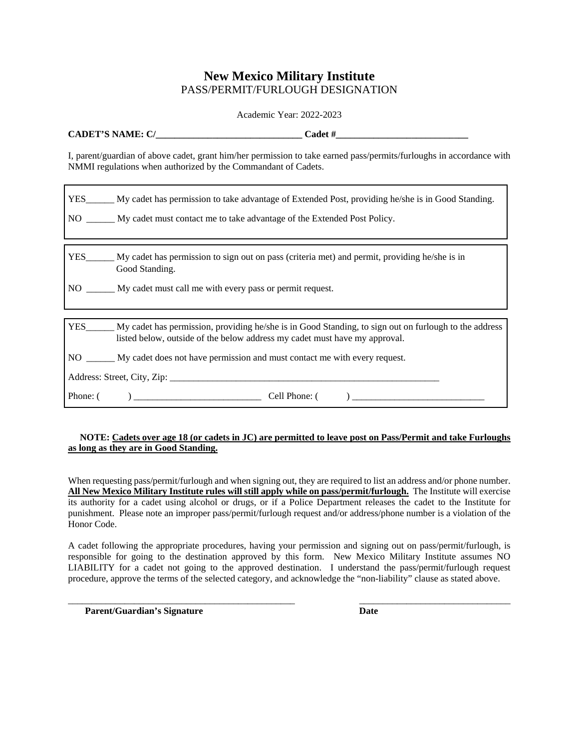## **New Mexico Military Institute** PASS/PERMIT/FURLOUGH DESIGNATION

Academic Year: 2022-2023

| <b>ATPIC NIA ME</b><br>$\sim$<br><b>CADET'S</b><br>N<br><u>.</u><br>.<br>້ |  |  |
|----------------------------------------------------------------------------|--|--|
|----------------------------------------------------------------------------|--|--|

I, parent/guardian of above cadet, grant him/her permission to take earned pass/permits/furloughs in accordance with NMMI regulations when authorized by the Commandant of Cadets.

| YES_______ My cadet has permission to take advantage of Extended Post, providing he/she is in Good Standing.<br>NO ______ My cadet must contact me to take advantage of the Extended Post Policy. |
|---------------------------------------------------------------------------------------------------------------------------------------------------------------------------------------------------|
| YES_______ My cadet has permission to sign out on pass (criteria met) and permit, providing he/she is in<br>Good Standing.                                                                        |
| NO _______ My cadet must call me with every pass or permit request.                                                                                                                               |
|                                                                                                                                                                                                   |
| YES_______ My cadet has permission, providing he/she is in Good Standing, to sign out on furlough to the address<br>listed below, outside of the below address my cade tmust have my approval.    |
| NO ________ My cadet does not have permission and must contact me with every request.                                                                                                             |
|                                                                                                                                                                                                   |
| Phone: $\begin{pmatrix} 1 & 1 \\ 1 & 1 \end{pmatrix}$ Cell Phone: $\begin{pmatrix} 1 & 1 \\ 1 & 1 \end{pmatrix}$                                                                                  |

## **NOTE: Cadets over age 18 (or cadets in JC) are permitted to leave post on Pass/Permit and take Furloughs as long as they are in Good Standing.**

When requesting pass/permit/furlough and when signing out, they are required to list an address and/or phone number. **All New Mexico Military Institute rules will still apply while on pass/permit/furlough.** The Institute will exercise its authority for a cadet using alcohol or drugs, or if a Police Department releases the cadet to the Institute for punishment. Please note an improper pass/permit/furlough request and/or address/phone number is a violation of the Honor Code.

A cadet following the appropriate procedures, having your permission and signing out on pass/permit/furlough, is responsible for going to the destination approved by this form. New Mexico Military Institute assumes NO LIABILITY for a cadet not going to the approved destination. I understand the pass/permit/furlough request procedure, approve the terms of the selected category, and acknowledge the "non-liability" clause as stated above.

\_\_\_\_\_\_\_\_\_\_\_\_\_\_\_\_\_\_\_\_\_\_\_\_\_\_\_\_\_\_\_\_\_\_\_\_\_\_\_\_\_\_\_\_\_\_\_\_ \_\_\_\_\_\_\_\_\_\_\_\_\_\_\_\_\_\_\_\_\_\_\_\_\_\_\_\_\_\_\_\_

**Parent/Guardian's Signature Date**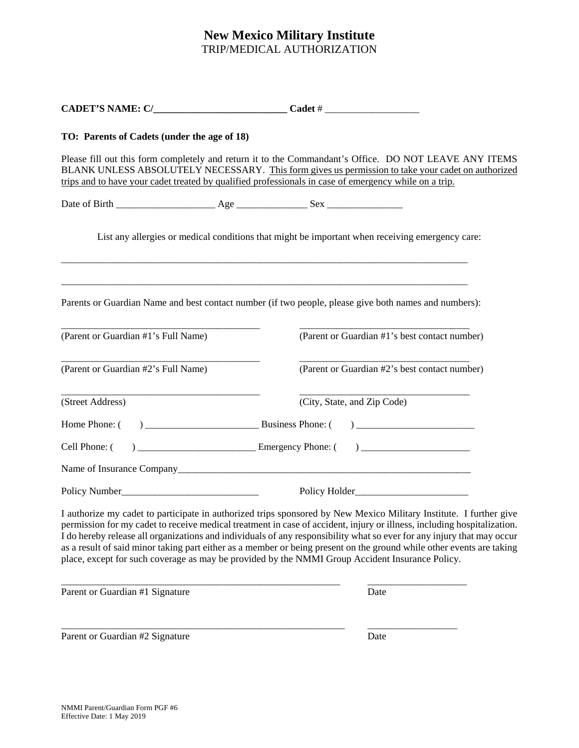# **New Mexico Military Institute** TRIP/MEDICAL AUTHORIZATION

| TO: Parents of Cadets (under the age of 18) |                                                                                                                                                                                                                                                                                                                                                                                                                                                                                                                                                                                                     |
|---------------------------------------------|-----------------------------------------------------------------------------------------------------------------------------------------------------------------------------------------------------------------------------------------------------------------------------------------------------------------------------------------------------------------------------------------------------------------------------------------------------------------------------------------------------------------------------------------------------------------------------------------------------|
|                                             | Please fill out this form completely and return it to the Commandant's Office. DO NOT LEAVE ANY ITEMS<br>BLANK UNLESS ABSOLUTELY NECESSARY. This form gives us permission to take your cadet on authorized<br>trips and to have your cadet treated by qualified professionals in case of emergency while on a trip.                                                                                                                                                                                                                                                                                 |
|                                             |                                                                                                                                                                                                                                                                                                                                                                                                                                                                                                                                                                                                     |
|                                             | List any allergies or medical conditions that might be important when receiving emergency care:                                                                                                                                                                                                                                                                                                                                                                                                                                                                                                     |
|                                             | Parents or Guardian Name and best contact number (if two people, please give both names and numbers):                                                                                                                                                                                                                                                                                                                                                                                                                                                                                               |
| (Parent or Guardian #1's Full Name)         | (Parent or Guardian #1's best contact number)                                                                                                                                                                                                                                                                                                                                                                                                                                                                                                                                                       |
| (Parent or Guardian #2's Full Name)         | (Parent or Guardian #2's best contact number)                                                                                                                                                                                                                                                                                                                                                                                                                                                                                                                                                       |
| (Street Address)                            | (City, State, and Zip Code)                                                                                                                                                                                                                                                                                                                                                                                                                                                                                                                                                                         |
|                                             |                                                                                                                                                                                                                                                                                                                                                                                                                                                                                                                                                                                                     |
| Cell Phone: (                               |                                                                                                                                                                                                                                                                                                                                                                                                                                                                                                                                                                                                     |
|                                             |                                                                                                                                                                                                                                                                                                                                                                                                                                                                                                                                                                                                     |
|                                             |                                                                                                                                                                                                                                                                                                                                                                                                                                                                                                                                                                                                     |
|                                             | I authorize my cadet to participate in authorized trips sponsored by New Mexico Military Institute. I further give<br>permission for my cadet to receive medical treatment in case of accident, injury or illness, including hospitalization.<br>I do hereby release all organizations and individuals of any responsibility what so ever for any injury that may occur<br>as a result of said minor taking part either as a member or being present on the ground while other events are taking<br>place, except for such coverage as may be provided by the NMMI Group Accident Insurance Policy. |
| Parent or Guardian #1 Signature             | Date                                                                                                                                                                                                                                                                                                                                                                                                                                                                                                                                                                                                |
| Parent or Guardian #2 Signature             | Date                                                                                                                                                                                                                                                                                                                                                                                                                                                                                                                                                                                                |
|                                             |                                                                                                                                                                                                                                                                                                                                                                                                                                                                                                                                                                                                     |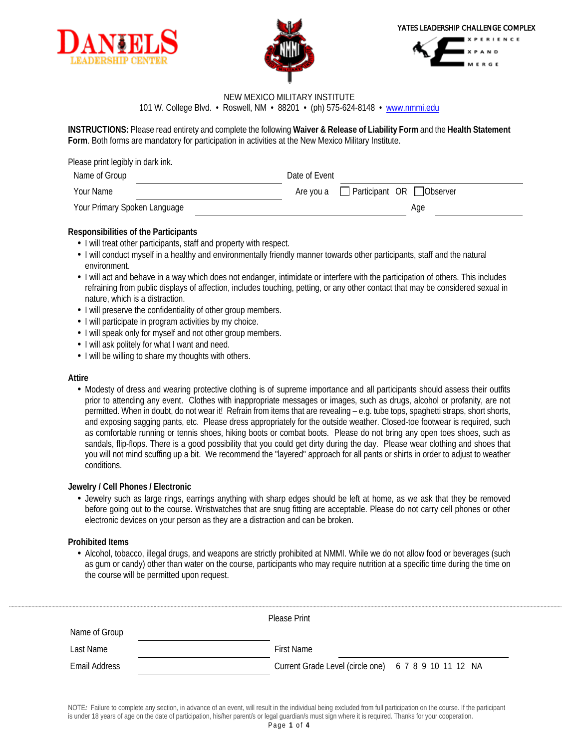





### NEW MEXICO MILITARY INSTITUTE 101 W. College Blvd. • Roswell, NM • 88201 • (ph) 575-624-8148 • www.nmmi.edu

**INSTRUCTIONS:** Please read entirety and complete the following **Waiver & Release of Liability Form** and the **Health Statement Form**. Both forms are mandatory for participation in activities at the New Mexico Military Institute.

| Please print legibly in dark ink. |                                                 |
|-----------------------------------|-------------------------------------------------|
| Name of Group                     | Date of Event                                   |
| Your Name                         | Are you a $\Box$ Participant OR $\Box$ Observer |
| Your Primary Spoken Language      | Age                                             |

## **Responsibilities of the Participants**

- I will treat other participants, staff and property with respect.
- I will conduct myself in a healthy and environmentally friendly manner towards other participants, staff and the natural environment.
- I will act and behave in a way which does not endanger, intimidate or interfere with the participation of others. This includes refraining from public displays of affection, includes touching, petting, or any other contact that may be considered sexual in nature, which is a distraction.
- I will preserve the confidentiality of other group members.
- I will participate in program activities by my choice.
- I will speak only for myself and not other group members.
- I will ask politely for what I want and need.
- I will be willing to share my thoughts with others.

### **Attire**

Modesty of dress and wearing protective clothing is of supreme importance and all participants should assess their outfits prior to attending any event. Clothes with inappropriate messages or images, such as drugs, alcohol or profanity, are not permitted. When in doubt, do not wear it! Refrain from items that are revealing – e.g. tube tops, spaghetti straps, short shorts, and exposing sagging pants, etc. Please dress appropriately for the outside weather. Closed-toe footwear is required, such as comfortable running or tennis shoes, hiking boots or combat boots. Please do not bring any open toes shoes, such as sandals, flip-flops. There is a good possibility that you could get dirty during the day. Please wear clothing and shoes that you will not mind scuffing up a bit. We recommend the "layered" approach for all pants or shirts in order to adjust to weather conditions.

## **Jewelry / Cell Phones / Electronic**

Jewelry such as large rings, earrings anything with sharp edges should be left at home, as we ask that they be removed before going out to the course. Wristwatches that are snug fitting are acceptable. Please do not carry cell phones or other electronic devices on your person as they are a distraction and can be broken.

## **Prohibited Items**

Alcohol, tobacco, illegal drugs, and weapons are strictly prohibited at NMMI. While we do not allow food or beverages (such as gum or candy) other than water on the course, participants who may require nutrition at a specific time during the time on the course will be permitted upon request.

|               | Please Print                                         |  |
|---------------|------------------------------------------------------|--|
| Name of Group |                                                      |  |
| Last Name     | <b>First Name</b>                                    |  |
| Email Address | Current Grade Level (circle one) 6 7 8 9 10 11 12 NA |  |
|               |                                                      |  |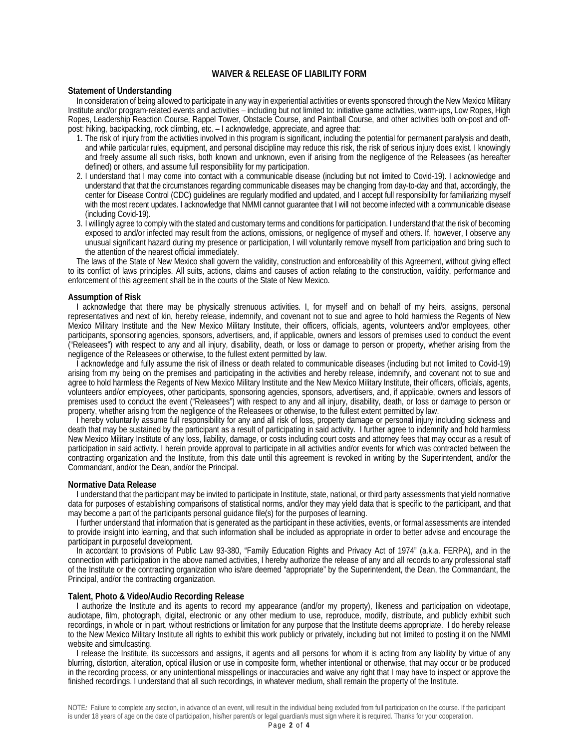### **WAIVER & RELEASE OF LIABILITY FORM**

### **Statement of Understanding**

In consideration of being allowed to participate in any way in experiential activities or events sponsored through the New Mexico Military Institute and/or program-related events and activities – including but not limited to: initiative game activities, warm-ups, Low Ropes, High Ropes, Leadership Reaction Course, Rappel Tower, Obstacle Course, and Paintball Course, and other activities both on-post and offpost: hiking, backpacking, rock climbing, etc. – I acknowledge, appreciate, and agree that:

- 1. The risk of injury from the activities involved in this program is significant, including the potential for permanent paralysis and death, and while particular rules, equipment, and personal discipline may reduce this risk, the risk of serious injury does exist. I knowingly and freely assume all such risks, both known and unknown, even if arising from the negligence of the Releasees (as hereafter defined) or others, and assume full responsibility for my participation.
- 2. I understand that I may come into contact with a communicable disease (including but not limited to Covid-19). I acknowledge and understand that that the circumstances regarding communicable diseases may be changing from day-to-day and that, accordingly, the center for Disease Control (CDC) guidelines are regularly modified and updated, and I accept full responsibility for familiarizing myself with the most recent updates. I acknowledge that NMMI cannot guarantee that I will not become infected with a communicable disease (including Covid-19).
- 3. I willingly agree to comply with the stated and customary terms and conditions for participation. I understand that the risk of becoming exposed to and/or infected may result from the actions, omissions, or negligence of myself and others. If, however, I observe any unusual significant hazard during my presence or participation, I will voluntarily remove myself from participation and bring such to the attention of the nearest official immediately.

The laws of the State of New Mexico shall govern the validity, construction and enforceability of this Agreement, without giving effect to its conflict of laws principles. All suits, actions, claims and causes of action relating to the construction, validity, performance and enforcement of this agreement shall be in the courts of the State of New Mexico.

### **Assumption of Risk**

I acknowledge that there may be physically strenuous activities. I, for myself and on behalf of my heirs, assigns, personal representatives and next of kin, hereby release, indemnify, and covenant not to sue and agree to hold harmless the Regents of New Mexico Military Institute and the New Mexico Military Institute, their officers, officials, agents, volunteers and/or employees, other participants, sponsoring agencies, sponsors, advertisers, and, if applicable, owners and lessors of premises used to conduct the event ("Releasees") with respect to any and all injury, disability, death, or loss or damage to person or property, whether arising from the negligence of the Releasees or otherwise, to the fullest extent permitted by law.

I acknowledge and fully assume the risk of illness or death related to communicable diseases (including but not limited to Covid-19) arising from my being on the premises and participating in the activities and hereby release, indemnify, and covenant not to sue and agree to hold harmless the Regents of New Mexico Military Institute and the New Mexico Military Institute, their officers, officials, agents, volunteers and/or employees, other participants, sponsoring agencies, sponsors, advertisers, and, if applicable, owners and lessors of premises used to conduct the event ("Releasees") with respect to any and all injury, disability, death, or loss or damage to person or property, whether arising from the negligence of the Releasees or otherwise, to the fullest extent permitted by law.

I hereby voluntarily assume full responsibility for any and all risk of loss, property damage or personal injury including sickness and death that may be sustained by the participant as a result of participating in said activity. I further agree to indemnify and hold harmless New Mexico Military Institute of any loss, liability, damage, or costs including court costs and attorney fees that may occur as a result of participation in said activity. I herein provide approval to participate in all activities and/or events for which was contracted between the contracting organization and the Institute, from this date until this agreement is revoked in writing by the Superintendent, and/or the Commandant, and/or the Dean, and/or the Principal.

### **Normative Data Release**

I understand that the participant may be invited to participate in Institute, state, national, or third party assessments that yield normative data for purposes of establishing comparisons of statistical norms, and/or they may yield data that is specific to the participant, and that may become a part of the participants personal guidance file(s) for the purposes of learning.

I further understand that information that is generated as the participant in these activities, events, or formal assessments are intended to provide insight into learning, and that such information shall be included as appropriate in order to better advise and encourage the participant in purposeful development.

In accordant to provisions of Public Law 93-380, "Family Education Rights and Privacy Act of 1974" (a.k.a. FERPA), and in the connection with participation in the above named activities, I hereby authorize the release of any and all records to any professional staff of the Institute or the contracting organization who is/are deemed "appropriate" by the Superintendent, the Dean, the Commandant, the Principal, and/or the contracting organization.

### **Talent, Photo & Video/Audio Recording Release**

I authorize the Institute and its agents to record my appearance (and/or my property), likeness and participation on videotape, audiotape, film, photograph, digital, electronic or any other medium to use, reproduce, modify, distribute, and publicly exhibit such recordings, in whole or in part, without restrictions or limitation for any purpose that the Institute deems appropriate. I do hereby release to the New Mexico Military Institute all rights to exhibit this work publicly or privately, including but not limited to posting it on the NMMI website and simulcasting.

I release the Institute, its successors and assigns, it agents and all persons for whom it is acting from any liability by virtue of any blurring, distortion, alteration, optical illusion or use in composite form, whether intentional or otherwise, that may occur or be produced in the recording process, or any unintentional misspellings or inaccuracies and waive any right that I may have to inspect or approve the finished recordings. I understand that all such recordings, in whatever medium, shall remain the property of the Institute.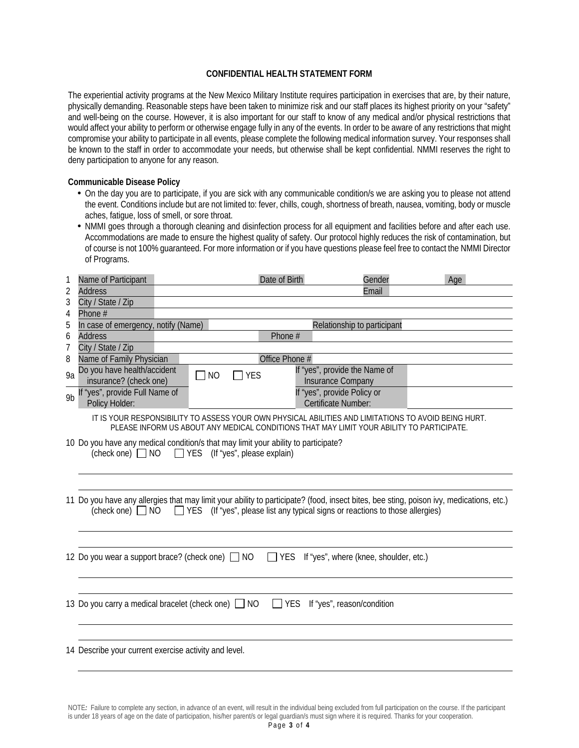## **CONFIDENTIAL HEALTH STATEMENT FORM**

The experiential activity programs at the New Mexico Military Institute requires participation in exercises that are, by their nature, physically demanding. Reasonable steps have been taken to minimize risk and our staff places its highest priority on your "safety" and well-being on the course. However, it is also important for our staff to know of any medical and/or physical restrictions that would affect your ability to perform or otherwise engage fully in any of the events. In order to be aware of any restrictions that might compromise your ability to participate in all events, please complete the following medical information survey. Your responses shall be known to the staff in order to accommodate your needs, but otherwise shall be kept confidential. NMMI reserves the right to deny participation to anyone for any reason.

### **Communicable Disease Policy**

- On the day you are to participate, if you are sick with any communicable condition/s we are asking you to please not attend the event. Conditions include but are not limited to: fever, chills, cough, shortness of breath, nausea, vomiting, body or muscle aches, fatigue, loss of smell, or sore throat.
- NMMI goes through a thorough cleaning and disinfection process for all equipment and facilities before and after each use. Accommodations are made to ensure the highest quality of safety. Our protocol highly reduces the risk of contamination, but of course is not 100% guaranteed. For more information or if you have questions please feel free to contact the NMMI Director of Programs.

| 1              | Name of Participant                                                                                                                     | Date of Birth                         | Gender                                                                                    | Age |
|----------------|-----------------------------------------------------------------------------------------------------------------------------------------|---------------------------------------|-------------------------------------------------------------------------------------------|-----|
| 2              | <b>Address</b>                                                                                                                          |                                       | Email                                                                                     |     |
| 3              | City / State / Zip                                                                                                                      |                                       |                                                                                           |     |
| 4              | Phone #                                                                                                                                 |                                       |                                                                                           |     |
| 5              | In case of emergency, notify (Name)                                                                                                     |                                       | Relationship to participant                                                               |     |
| 6              | <b>Address</b>                                                                                                                          | Phone #                               |                                                                                           |     |
| 7<br>8         | City / State / Zip<br>Name of Family Physician                                                                                          | Office Phone #                        |                                                                                           |     |
|                | Do you have health/accident                                                                                                             |                                       | If "yes", provide the Name of                                                             |     |
| 9a             | insurance? (check one)                                                                                                                  | 7 YES<br><b>NO</b>                    | Insurance Company                                                                         |     |
| 9 <sub>b</sub> | If "yes", provide Full Name of                                                                                                          |                                       | If "yes", provide Policy or                                                               |     |
|                | Policy Holder:                                                                                                                          |                                       | Certificate Number:                                                                       |     |
|                | IT IS YOUR RESPONSIBILITY TO ASSESS YOUR OWN PHYSICAL ABILITIES AND LIMITATIONS TO AVOID BEING HURT.                                    |                                       | PLEASE INFORM US ABOUT ANY MEDICAL CONDITIONS THAT MAY LIMIT YOUR ABILITY TO PARTICIPATE. |     |
|                | 10 Do you have any medical condition/s that may limit your ability to participate?                                                      |                                       |                                                                                           |     |
|                | (check one) $\Box$ NO                                                                                                                   | $\Box$ YES (If "yes", please explain) |                                                                                           |     |
|                |                                                                                                                                         |                                       |                                                                                           |     |
|                |                                                                                                                                         |                                       |                                                                                           |     |
|                | 11 Do you have any allergies that may limit your ability to participate? (food, insect bites, bee sting, poison ivy, medications, etc.) |                                       |                                                                                           |     |
|                | (check one) $\Box$ NO                                                                                                                   |                                       | □ YES (If "yes", please list any typical signs or reactions to those allergies)           |     |
|                |                                                                                                                                         |                                       |                                                                                           |     |
|                |                                                                                                                                         |                                       |                                                                                           |     |
|                | 12 Do you wear a support brace? (check one) NO                                                                                          | I YES                                 | If "yes", where (knee, shoulder, etc.)                                                    |     |
|                |                                                                                                                                         |                                       |                                                                                           |     |
|                |                                                                                                                                         |                                       |                                                                                           |     |
|                |                                                                                                                                         |                                       |                                                                                           |     |
|                | 13 Do you carry a medical bracelet (check one) NO                                                                                       |                                       | $\Box$ YES If "yes", reason/condition                                                     |     |
|                |                                                                                                                                         |                                       |                                                                                           |     |
|                |                                                                                                                                         |                                       |                                                                                           |     |
|                | 14 Describe your current exercise activity and level.                                                                                   |                                       |                                                                                           |     |
|                |                                                                                                                                         |                                       |                                                                                           |     |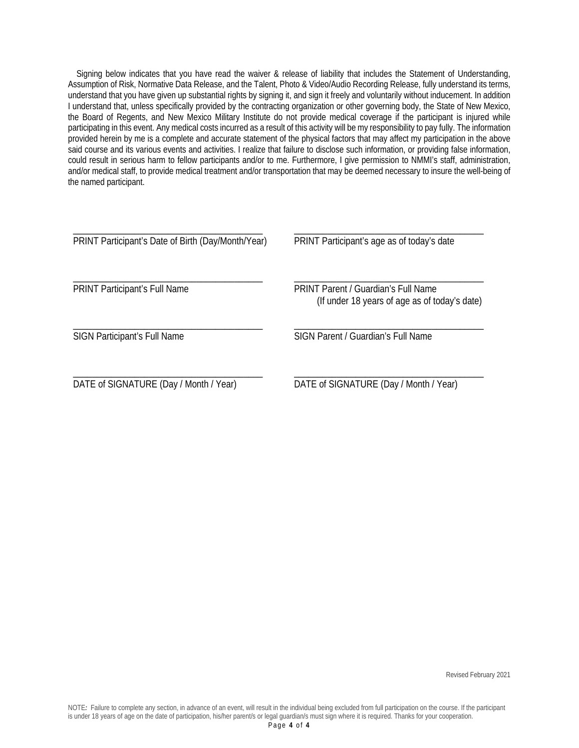Signing below indicates that you have read the waiver & release of liability that includes the Statement of Understanding, Assumption of Risk, Normative Data Release, and the Talent, Photo & Video/Audio Recording Release, fully understand its terms, understand that you have given up substantial rights by signing it, and sign it freely and voluntarily without inducement. In addition I understand that, unless specifically provided by the contracting organization or other governing body, the State of New Mexico, the Board of Regents, and New Mexico Military Institute do not provide medical coverage if the participant is injured while participating in this event. Any medical costs incurred as a result of this activity will be my responsibility to pay fully. The information provided herein by me is a complete and accurate statement of the physical factors that may affect my participation in the above said course and its various events and activities. I realize that failure to disclose such information, or providing false information, could result in serious harm to fellow participants and/or to me. Furthermore, I give permission to NMMI's staff, administration, and/or medical staff, to provide medical treatment and/or transportation that may be deemed necessary to insure the well-being of the named participant.

| PRINT Participant's Date of Birth (Day/Month/Year) | PRINT Participant's age as of today's date                                                  |
|----------------------------------------------------|---------------------------------------------------------------------------------------------|
| <b>PRINT Participant's Full Name</b>               | <b>PRINT Parent / Guardian's Full Name</b><br>(If under 18 years of age as of today's date) |
| <b>SIGN Participant's Full Name</b>                | SIGN Parent / Guardian's Full Name                                                          |
| DATE of SIGNATURE (Day / Month / Year)             | DATE of SIGNATURE (Day / Month / Year)                                                      |

Revised February 2021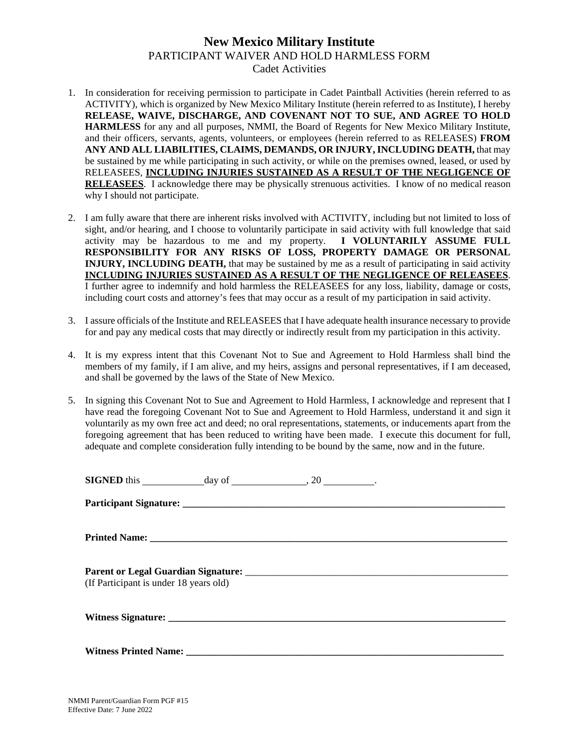## **New Mexico Military Institute** PARTICIPANT WAIVER AND HOLD HARMLESS FORM Cadet Activities

- 1. In consideration for receiving permission to participate in Cadet Paintball Activities (herein referred to as ACTIVITY), which is organized by New Mexico Military Institute (herein referred to as Institute), I hereby **RELEASE, WAIVE, DISCHARGE, AND COVENANT NOT TO SUE, AND AGREE TO HOLD HARMLESS** for any and all purposes, NMMI, the Board of Regents for New Mexico Military Institute, and their officers, servants, agents, volunteers, or employees (herein referred to as RELEASES) **FROM ANY AND ALL LIABILITIES, CLAIMS, DEMANDS, OR INJURY, INCLUDING DEATH,** that may be sustained by me while participating in such activity, or while on the premises owned, leased, or used by RELEASEES, **INCLUDING INJURIES SUSTAINED AS A RESULT OF THE NEGLIGENCE OF RELEASEES**. I acknowledge there may be physically strenuous activities. I know of no medical reason why I should not participate.
- 2. I am fully aware that there are inherent risks involved with ACTIVITY, including but not limited to loss of sight, and/or hearing, and I choose to voluntarily participate in said activity with full knowledge that said activity may be hazardous to me and my property. **I VOLUNTARILY ASSUME FULL RESPONSIBILITY FOR ANY RISKS OF LOSS, PROPERTY DAMAGE OR PERSONAL INJURY, INCLUDING DEATH,** that may be sustained by me as a result of participating in said activity **INCLUDING INJURIES SUSTAINED AS A RESULT OF THE NEGLIGENCE OF RELEASEES**. I further agree to indemnify and hold harmless the RELEASEES for any loss, liability, damage or costs, including court costs and attorney's fees that may occur as a result of my participation in said activity.
- 3. I assure officials of the Institute and RELEASEES that I have adequate health insurance necessary to provide for and pay any medical costs that may directly or indirectly result from my participation in this activity.
- 4. It is my express intent that this Covenant Not to Sue and Agreement to Hold Harmless shall bind the members of my family, if I am alive, and my heirs, assigns and personal representatives, if I am deceased, and shall be governed by the laws of the State of New Mexico.
- 5. In signing this Covenant Not to Sue and Agreement to Hold Harmless, I acknowledge and represent that I have read the foregoing Covenant Not to Sue and Agreement to Hold Harmless, understand it and sign it voluntarily as my own free act and deed; no oral representations, statements, or inducements apart from the foregoing agreement that has been reduced to writing have been made. I execute this document for full, adequate and complete consideration fully intending to be bound by the same, now and in the future.

| (If Participant is under 18 years old) |  |  |
|----------------------------------------|--|--|
|                                        |  |  |
|                                        |  |  |